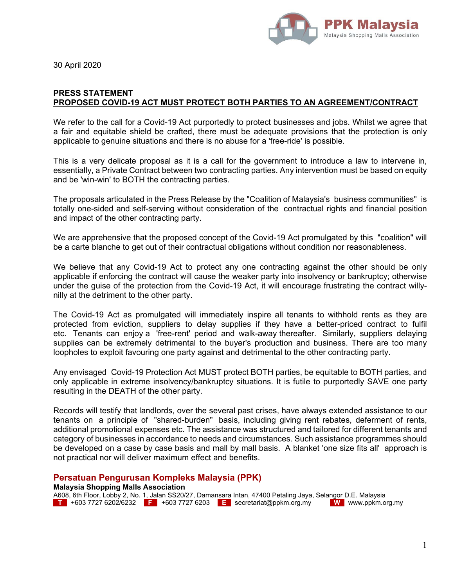

30 April 2020

## **PRESS STATEMENT PROPOSED COVID-19 ACT MUST PROTECT BOTH PARTIES TO AN AGREEMENT/CONTRACT**

We refer to the call for a Covid-19 Act purportedly to protect businesses and jobs. Whilst we agree that a fair and equitable shield be crafted, there must be adequate provisions that the protection is only applicable to genuine situations and there is no abuse for a 'free-ride' is possible.

This is a very delicate proposal as it is a call for the government to introduce a law to intervene in, essentially, a Private Contract between two contracting parties. Any intervention must be based on equity and be 'win-win' to BOTH the contracting parties.

The proposals articulated in the Press Release by the "Coalition of Malaysia's business communities" is totally one-sided and self-serving without consideration of the contractual rights and financial position and impact of the other contracting party.

We are apprehensive that the proposed concept of the Covid-19 Act promulgated by this "coalition" will be a carte blanche to get out of their contractual obligations without condition nor reasonableness.

We believe that any Covid-19 Act to protect any one contracting against the other should be only applicable if enforcing the contract will cause the weaker party into insolvency or bankruptcy; otherwise under the guise of the protection from the Covid-19 Act, it will encourage frustrating the contract willynilly at the detriment to the other party.

The Covid-19 Act as promulgated will immediately inspire all tenants to withhold rents as they are protected from eviction, suppliers to delay supplies if they have a better-priced contract to fulfil etc. Tenants can enjoy a 'free-rent' period and walk-away thereafter. Similarly, suppliers delaying supplies can be extremely detrimental to the buyer's production and business. There are too many loopholes to exploit favouring one party against and detrimental to the other contracting party.

Any envisaged Covid-19 Protection Act MUST protect BOTH parties, be equitable to BOTH parties, and only applicable in extreme insolvency/bankruptcy situations. It is futile to purportedly SAVE one party resulting in the DEATH of the other party.

Records will testify that landlords, over the several past crises, have always extended assistance to our tenants on a principle of "shared-burden" basis, including giving rent rebates, deferment of rents, additional promotional expenses etc. The assistance was structured and tailored for different tenants and category of businesses in accordance to needs and circumstances. Such assistance programmes should be developed on a case by case basis and mall by mall basis. A blanket 'one size fits all' approach is not practical nor will deliver maximum effect and benefits.

## **Persatuan Pengurusan Kompleks Malaysia (PPK)**

**Malaysia Shopping Malls Association** 

A608, 6th Floor, Lobby 2, No. 1, Jalan SS20/27, Damansara Intan, 47400 Petaling Jaya, Selangor D.E. Malaysia **T** +603 7727 6202/6232 **F** +603 7727 6203 **E** secretariat@ppkm.org.my **W** www.ppkm.org.my